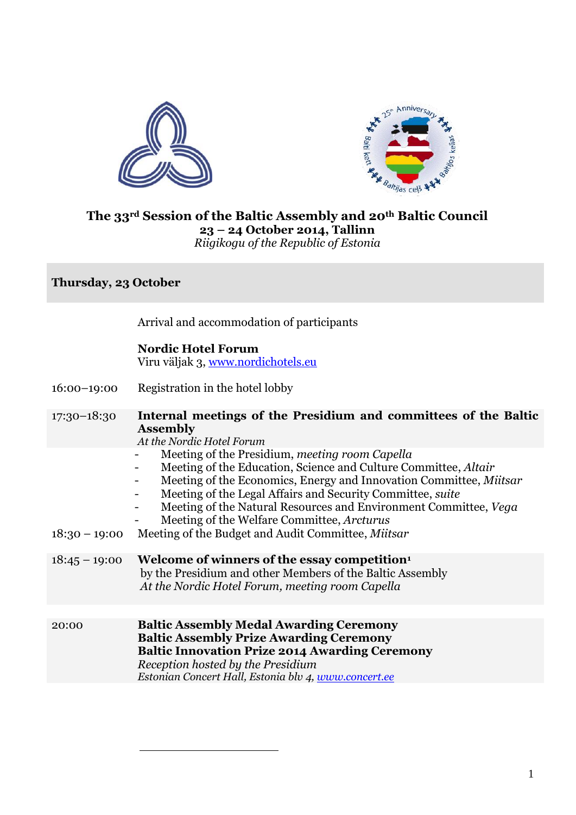



### **The 33rd Session of the Baltic Assembly and 20th Baltic Council 23 – 24 October 2014, Tallinn** *Riigikogu of the Republic of Estonia*

## **Thursday, 23 October**

Arrival and accommodation of participants

### **Nordic Hotel Forum**

Viru väljak 3, [www.nordichotels.eu](http://www.nordichotels.eu/)

16:00–19:00 Registration in the hotel lobby

1

- 17:30–18:30 **Internal meetings of the Presidium and committees of the Baltic Assembly**
	- *At the Nordic Hotel Forum*
		- Meeting of the Presidium, *meeting room Capella*
	- Meeting of the Education, Science and Culture Committee, *Altair*
	- Meeting of the Economics, Energy and Innovation Committee, *Miitsar*
	- Meeting of the Legal Affairs and Security Committee, *suite*
	- Meeting of the Natural Resources and Environment Committee, *Vega*
	- Meeting of the Welfare Committee, *Arcturus*
- 18:30 19:00 Meeting of the Budget and Audit Committee, *Miitsar*
- 18:45 19:00 **Welcome of winners of the essay competition<sup>1</sup>** by the Presidium and other Members of the Baltic Assembly *At the Nordic Hotel Forum, meeting room Capella*
- 20:00 **Baltic Assembly Medal Awarding Ceremony Baltic Assembly Prize Awarding Ceremony Baltic Innovation Prize 2014 Awarding Ceremony** *Reception hosted by the Presidium Estonian Concert Hall, Estonia blv 4, [www.concert.ee](http://www.concert.ee/)*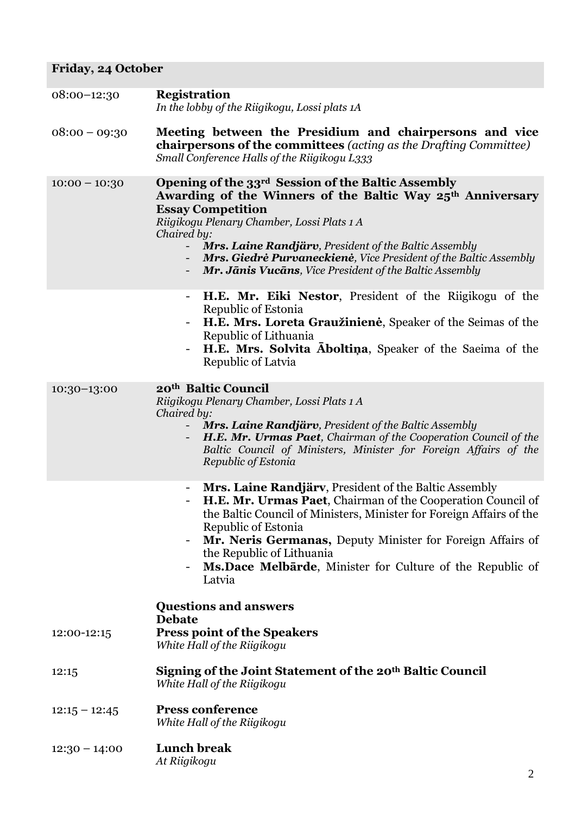# **Friday, 24 October**

| $08:00-12:30$   | <b>Registration</b><br>In the lobby of the Riigikogu, Lossi plats 1A                                                                                                                                                                                                                                                                                                                                                                      |  |
|-----------------|-------------------------------------------------------------------------------------------------------------------------------------------------------------------------------------------------------------------------------------------------------------------------------------------------------------------------------------------------------------------------------------------------------------------------------------------|--|
| $08:00 - 09:30$ | Meeting between the Presidium and chairpersons and vice<br><b>chairpersons of the committees</b> (acting as the Drafting Committee)<br>Small Conference Halls of the Riigikogu L333                                                                                                                                                                                                                                                       |  |
| $10:00 - 10:30$ | Opening of the 33 <sup>rd</sup> Session of the Baltic Assembly<br>Awarding of the Winners of the Baltic Way 25 <sup>th</sup> Anniversary<br><b>Essay Competition</b><br>Riigikogu Plenary Chamber, Lossi Plats 1 A<br>Chaired by:<br>Mrs. Laine Randjärv, President of the Baltic Assembly<br><b>Mrs. Giedrė Purvaneckienė</b> , Vice President of the Baltic Assembly<br><b>Mr. Jānis Vucāns</b> , Vice President of the Baltic Assembly |  |
|                 | <b>H.E. Mr. Eiki Nestor</b> , President of the Riigikogu of the<br>Ξ.<br>Republic of Estonia<br>H.E. Mrs. Loreta Graužinienė, Speaker of the Seimas of the<br>Republic of Lithuania<br>H.E. Mrs. Solvita Aboltina, Speaker of the Saeima of the<br>Republic of Latvia                                                                                                                                                                     |  |
| $10:30-13:00$   | 20th Baltic Council<br>Riigikogu Plenary Chamber, Lossi Plats 1 A<br>Chaired by:<br>Mrs. Laine Randjärv, President of the Baltic Assembly<br>H.E. Mr. Urmas Paet, Chairman of the Cooperation Council of the<br>Baltic Council of Ministers, Minister for Foreign Affairs of the<br>Republic of Estonia                                                                                                                                   |  |
|                 | Mrs. Laine Randjärv, President of the Baltic Assembly<br>-<br>H.E. Mr. Urmas Paet, Chairman of the Cooperation Council of<br>the Baltic Council of Ministers, Minister for Foreign Affairs of the<br>Republic of Estonia<br>Mr. Neris Germanas, Deputy Minister for Foreign Affairs of<br>the Republic of Lithuania<br>Ms. Dace Melbarde, Minister for Culture of the Republic of<br>Latvia                                               |  |
| 12:00-12:15     | <b>Questions and answers</b><br><b>Debate</b><br><b>Press point of the Speakers</b><br>White Hall of the Riigikogu                                                                                                                                                                                                                                                                                                                        |  |
| 12:15           | Signing of the Joint Statement of the 20 <sup>th</sup> Baltic Council<br>White Hall of the Riigikogu                                                                                                                                                                                                                                                                                                                                      |  |
| $12:15 - 12:45$ | <b>Press conference</b><br>White Hall of the Riigikogu                                                                                                                                                                                                                                                                                                                                                                                    |  |
| $12:30 - 14:00$ | <b>Lunch break</b><br>At Riigikogu                                                                                                                                                                                                                                                                                                                                                                                                        |  |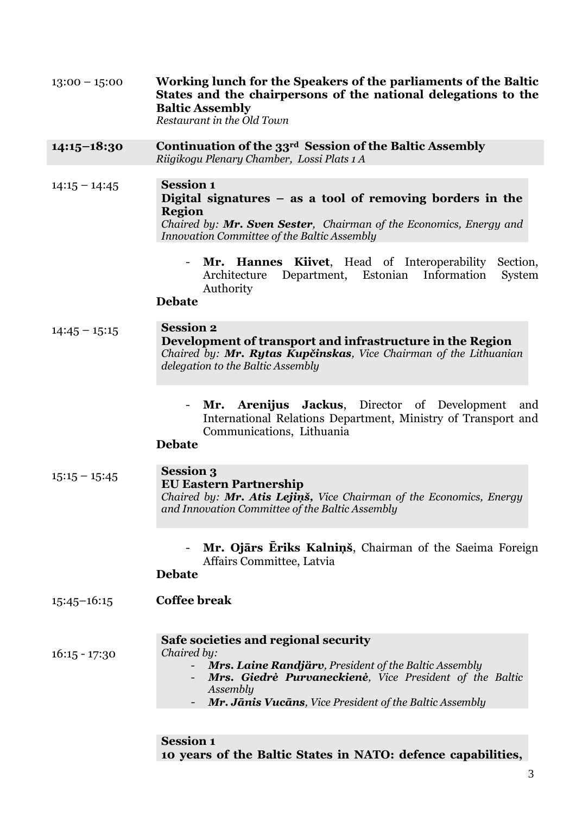| $13:00 - 15:00$ | Working lunch for the Speakers of the parliaments of the Baltic<br>States and the chairpersons of the national delegations to the<br><b>Baltic Assembly</b><br>Restaurant in the Old Town                                                              |  |  |  |  |
|-----------------|--------------------------------------------------------------------------------------------------------------------------------------------------------------------------------------------------------------------------------------------------------|--|--|--|--|
| $14:15-18:30$   | Continuation of the 33 <sup>rd</sup> Session of the Baltic Assembly<br>Riigikogu Plenary Chamber, Lossi Plats 1 A                                                                                                                                      |  |  |  |  |
| $14:15 - 14:45$ | <b>Session 1</b><br>Digital signatures $-$ as a tool of removing borders in the<br><b>Region</b><br>Chaired by: Mr. Sven Sester, Chairman of the Economics, Energy and<br><b>Innovation Committee of the Baltic Assembly</b>                           |  |  |  |  |
|                 | Mr. Hannes Kiivet, Head of Interoperability<br>Section,<br>$\overline{\phantom{0}}$<br>Department, Estonian Information<br>Architecture<br>System<br>Authority<br><b>Debate</b>                                                                        |  |  |  |  |
| $14:45 - 15:15$ | <b>Session 2</b><br>Development of transport and infrastructure in the Region<br>Chaired by: Mr. Rytas Kupčinskas, Vice Chairman of the Lithuanian<br>delegation to the Baltic Assembly                                                                |  |  |  |  |
|                 | Mr. Arenijus Jackus, Director of Development<br>and<br>$\overline{\phantom{0}}$<br>International Relations Department, Ministry of Transport and<br>Communications, Lithuania<br><b>Debate</b>                                                         |  |  |  |  |
| $15:15 - 15:45$ | <b>Session 3</b><br><b>EU Eastern Partnership</b><br>Chaired by: Mr. Atis Lejins, Vice Chairman of the Economics, Energy<br>and Innovation Committee of the Baltic Assembly                                                                            |  |  |  |  |
|                 | Mr. Ojārs Eriks Kalniņš, Chairman of the Saeima Foreign<br>Affairs Committee, Latvia<br><b>Debate</b>                                                                                                                                                  |  |  |  |  |
| $15:45 - 16:15$ | <b>Coffee break</b>                                                                                                                                                                                                                                    |  |  |  |  |
| $16:15 - 17:30$ | Safe societies and regional security<br>Chaired by:<br>Mrs. Laine Randjärv, President of the Baltic Assembly<br>Mrs. Giedrė Purvaneckienė, Vice President of the Baltic<br>Assembly<br><b>Mr. Jānis Vucāns</b> , Vice President of the Baltic Assembly |  |  |  |  |
|                 |                                                                                                                                                                                                                                                        |  |  |  |  |

I

# **Session 1 10 years of the Baltic States in NATO: defence capabilities,**